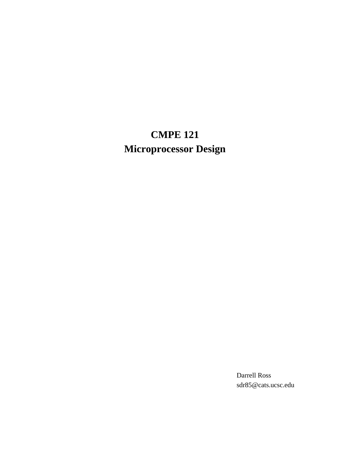# **CMPE 121 Microprocessor Design**

Darrell Ross sdr85@cats.ucsc.edu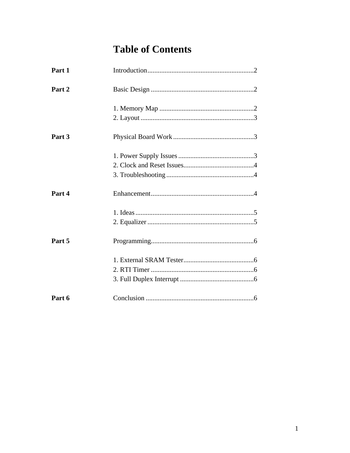# **Table of Contents**

| Part 1 |  |
|--------|--|
| Part 2 |  |
|        |  |
| Part 3 |  |
|        |  |
| Part 4 |  |
|        |  |
| Part 5 |  |
|        |  |
|        |  |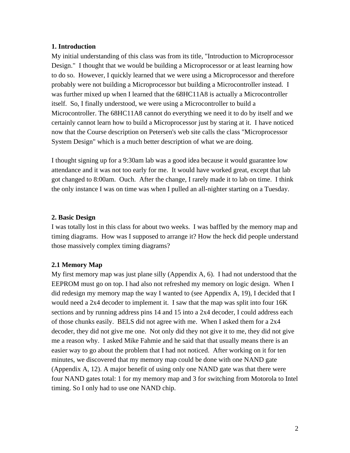#### **1. Introduction**

My initial understanding of this class was from its title, "Introduction to Microprocessor Design." I thought that we would be building a Microprocessor or at least learning how to do so. However, I quickly learned that we were using a Microprocessor and therefore probably were not building a Microprocessor but building a Microcontroller instead. I was further mixed up when I learned that the 68HC11A8 is actually a Microcontroller itself. So, I finally understood, we were using a Microcontroller to build a Microcontroller. The 68HC11A8 cannot do everything we need it to do by itself and we certainly cannot learn how to build a Microprocessor just by staring at it. I have noticed now that the Course description on Petersen's web site calls the class "Microprocessor System Design" which is a much better description of what we are doing.

I thought signing up for a 9:30am lab was a good idea because it would guarantee low attendance and it was not too early for me. It would have worked great, except that lab got changed to 8:00am. Ouch. After the change, I rarely made it to lab on time. I think the only instance I was on time was when I pulled an all-nighter starting on a Tuesday.

#### **2. Basic Design**

I was totally lost in this class for about two weeks. I was baffled by the memory map and timing diagrams. How was I supposed to arrange it? How the heck did people understand those massively complex timing diagrams?

#### **2.1 Memory Map**

My first memory map was just plane silly (Appendix A, 6). I had not understood that the EEPROM must go on top. I had also not refreshed my memory on logic design. When I did redesign my memory map the way I wanted to (see Appendix A, 19), I decided that I would need a 2x4 decoder to implement it. I saw that the map was split into four 16K sections and by running address pins 14 and 15 into a 2x4 decoder, I could address each of those chunks easily. BELS did not agree with me. When I asked them for a 2x4 decoder, they did not give me one. Not only did they not give it to me, they did not give me a reason why. I asked Mike Fahmie and he said that that usually means there is an easier way to go about the problem that I had not noticed. After working on it for ten minutes, we discovered that my memory map could be done with one NAND gate (Appendix A, 12). A major benefit of using only one NAND gate was that there were four NAND gates total: 1 for my memory map and 3 for switching from Motorola to Intel timing. So I only had to use one NAND chip.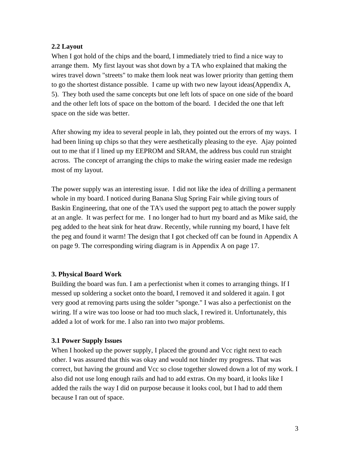# **2.2 Layout**

When I got hold of the chips and the board, I immediately tried to find a nice way to arrange them. My first layout was shot down by a TA who explained that making the wires travel down "streets" to make them look neat was lower priority than getting them to go the shortest distance possible. I came up with two new layout ideas(Appendix A, 5). They both used the same concepts but one left lots of space on one side of the board and the other left lots of space on the bottom of the board. I decided the one that left space on the side was better.

After showing my idea to several people in lab, they pointed out the errors of my ways. I had been lining up chips so that they were aesthetically pleasing to the eye. Ajay pointed out to me that if I lined up my EEPROM and SRAM, the address bus could run straight across. The concept of arranging the chips to make the wiring easier made me redesign most of my layout.

The power supply was an interesting issue. I did not like the idea of drilling a permanent whole in my board. I noticed during Banana Slug Spring Fair while giving tours of Baskin Engineering, that one of the TA's used the support peg to attach the power supply at an angle. It was perfect for me. I no longer had to hurt my board and as Mike said, the peg added to the heat sink for heat draw. Recently, while running my board, I have felt the peg and found it warm! The design that I got checked off can be found in Appendix A on page 9. The corresponding wiring diagram is in Appendix A on page 17.

#### **3. Physical Board Work**

Building the board was fun. I am a perfectionist when it comes to arranging things. If I messed up soldering a socket onto the board, I removed it and soldered it again. I got very good at removing parts using the solder "sponge." I was also a perfectionist on the wiring. If a wire was too loose or had too much slack, I rewired it. Unfortunately, this added a lot of work for me. I also ran into two major problems.

#### **3.1 Power Supply Issues**

When I hooked up the power supply, I placed the ground and Vcc right next to each other. I was assured that this was okay and would not hinder my progress. That was correct, but having the ground and Vcc so close together slowed down a lot of my work. I also did not use long enough rails and had to add extras. On my board, it looks like I added the rails the way I did on purpose because it looks cool, but I had to add them because I ran out of space.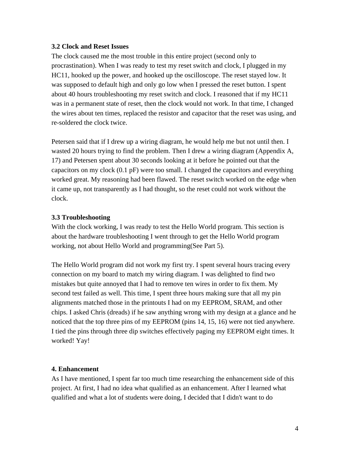#### **3.2 Clock and Reset Issues**

The clock caused me the most trouble in this entire project (second only to procrastination). When I was ready to test my reset switch and clock, I plugged in my HC11, hooked up the power, and hooked up the oscilloscope. The reset stayed low. It was supposed to default high and only go low when I pressed the reset button. I spent about 40 hours troubleshooting my reset switch and clock. I reasoned that if my HC11 was in a permanent state of reset, then the clock would not work. In that time, I changed the wires about ten times, replaced the resistor and capacitor that the reset was using, and re-soldered the clock twice.

Petersen said that if I drew up a wiring diagram, he would help me but not until then. I wasted 20 hours trying to find the problem. Then I drew a wiring diagram (Appendix A, 17) and Petersen spent about 30 seconds looking at it before he pointed out that the capacitors on my clock (0.1 pF) were too small. I changed the capacitors and everything worked great. My reasoning had been flawed. The reset switch worked on the edge when it came up, not transparently as I had thought, so the reset could not work without the clock.

#### **3.3 Troubleshooting**

With the clock working, I was ready to test the Hello World program. This section is about the hardware troubleshooting I went through to get the Hello World program working, not about Hello World and programming(See Part 5).

The Hello World program did not work my first try. I spent several hours tracing every connection on my board to match my wiring diagram. I was delighted to find two mistakes but quite annoyed that I had to remove ten wires in order to fix them. My second test failed as well. This time, I spent three hours making sure that all my pin alignments matched those in the printouts I had on my EEPROM, SRAM, and other chips. I asked Chris (dreads) if he saw anything wrong with my design at a glance and he noticed that the top three pins of my EEPROM (pins 14, 15, 16) were not tied anywhere. I tied the pins through three dip switches effectively paging my EEPROM eight times. It worked! Yay!

#### **4. Enhancement**

As I have mentioned, I spent far too much time researching the enhancement side of this project. At first, I had no idea what qualified as an enhancement. After I learned what qualified and what a lot of students were doing, I decided that I didn't want to do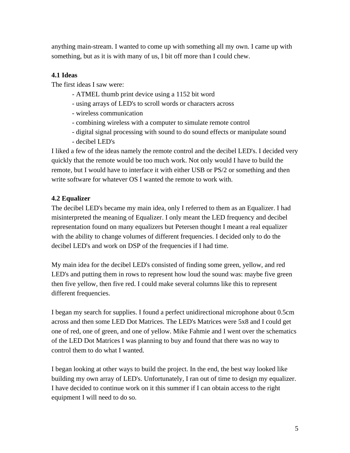anything main-stream. I wanted to come up with something all my own. I came up with something, but as it is with many of us, I bit off more than I could chew.

# **4.1 Ideas**

The first ideas I saw were:

- ATMEL thumb print device using a 1152 bit word
- using arrays of LED's to scroll words or characters across
- wireless communication
- combining wireless with a computer to simulate remote control
- digital signal processing with sound to do sound effects or manipulate sound
- decibel LED's

I liked a few of the ideas namely the remote control and the decibel LED's. I decided very quickly that the remote would be too much work. Not only would I have to build the remote, but I would have to interface it with either USB or PS/2 or something and then write software for whatever OS I wanted the remote to work with.

# **4.2 Equalizer**

The decibel LED's became my main idea, only I referred to them as an Equalizer. I had misinterpreted the meaning of Equalizer. I only meant the LED frequency and decibel representation found on many equalizers but Petersen thought I meant a real equalizer with the ability to change volumes of different frequencies. I decided only to do the decibel LED's and work on DSP of the frequencies if I had time.

My main idea for the decibel LED's consisted of finding some green, yellow, and red LED's and putting them in rows to represent how loud the sound was: maybe five green then five yellow, then five red. I could make several columns like this to represent different frequencies.

I began my search for supplies. I found a perfect unidirectional microphone about 0.5cm across and then some LED Dot Matrices. The LED's Matrices were 5x8 and I could get one of red, one of green, and one of yellow. Mike Fahmie and I went over the schematics of the LED Dot Matrices I was planning to buy and found that there was no way to control them to do what I wanted.

I began looking at other ways to build the project. In the end, the best way looked like building my own array of LED's. Unfortunately, I ran out of time to design my equalizer. I have decided to continue work on it this summer if I can obtain access to the right equipment I will need to do so.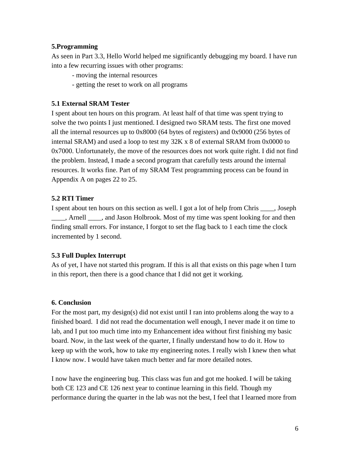#### **5.Programming**

As seen in Part 3.3, Hello World helped me significantly debugging my board. I have run into a few recurring issues with other programs:

- moving the internal resources
- getting the reset to work on all programs

# **5.1 External SRAM Tester**

I spent about ten hours on this program. At least half of that time was spent trying to solve the two points I just mentioned. I designed two SRAM tests. The first one moved all the internal resources up to 0x8000 (64 bytes of registers) and 0x9000 (256 bytes of internal SRAM) and used a loop to test my 32K x 8 of external SRAM from 0x0000 to 0x7000. Unfortunately, the move of the resources does not work quite right. I did not find the problem. Instead, I made a second program that carefully tests around the internal resources. It works fine. Part of my SRAM Test programming process can be found in Appendix A on pages 22 to 25.

# **5.2 RTI Timer**

I spent about ten hours on this section as well. I got a lot of help from Chris \_\_\_\_, Joseph \_\_\_\_, Arnell \_\_\_\_, and Jason Holbrook. Most of my time was spent looking for and then finding small errors. For instance, I forgot to set the flag back to 1 each time the clock incremented by 1 second.

# **5.3 Full Duplex Interrupt**

As of yet, I have not started this program. If this is all that exists on this page when I turn in this report, then there is a good chance that I did not get it working.

# **6. Conclusion**

For the most part, my design(s) did not exist until I ran into problems along the way to a finished board. I did not read the documentation well enough, I never made it on time to lab, and I put too much time into my Enhancement idea without first finishing my basic board. Now, in the last week of the quarter, I finally understand how to do it. How to keep up with the work, how to take my engineering notes. I really wish I knew then what I know now. I would have taken much better and far more detailed notes.

I now have the engineering bug. This class was fun and got me hooked. I will be taking both CE 123 and CE 126 next year to continue learning in this field. Though my performance during the quarter in the lab was not the best, I feel that I learned more from